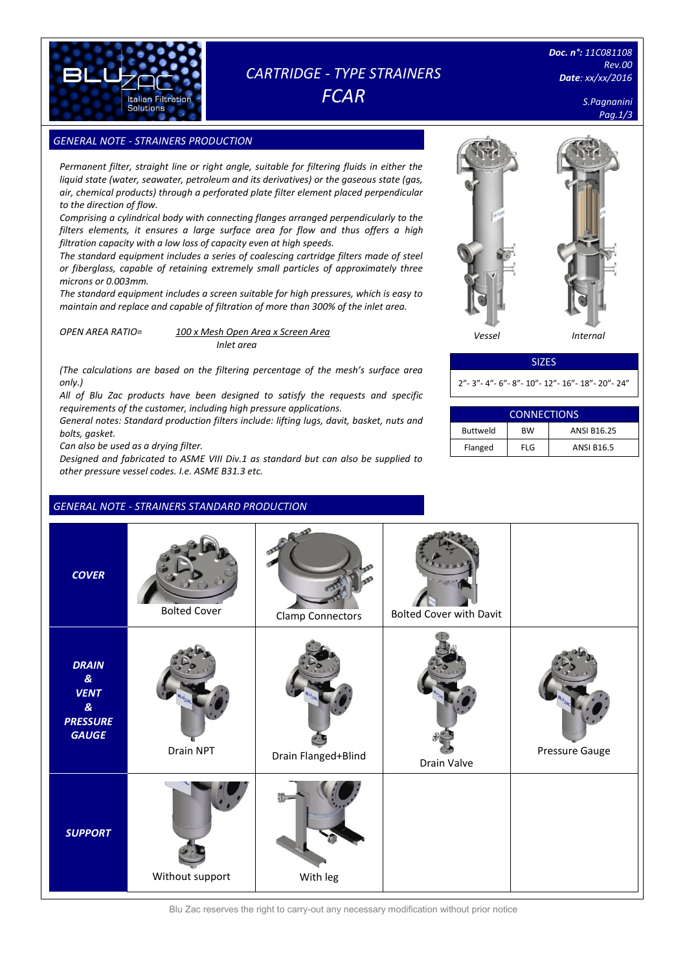

## *CARTRIDGE - TYPE STRAINERS FCAR*

*Doc. n°: 11C081108 Rev.00 Date: xx/xx/2016*

*S.Pagnanini* 

**GENERAL NOTE - STRAINERS PRODUCTION** 

*Permanent filter, straight line or right angle, suitable for filtering fluids in either the liquid state (water, seawater, petroleum and its derivatives) or the gaseous state (gas, air, chemical products) through a perforated plate filter element placed perpendicular to the direction of flow.*

*Comprising a cylindrical body with connecting flanges arranged perpendicularly to the filters elements, it ensures a large surface area for flow and thus offers a high filtration capacity with a low loss of capacity even at high speeds.* 

*The standard equipment includes a series of coalescing cartridge filters made of steel or fiberglass, capable of retaining extremely small particles of approximately three microns or 0.003mm.*

*The standard equipment includes a screen suitable for high pressures, which is easy to maintain and replace and capable of filtration of more than 300% of the inlet area.*

*OPEN AREA RATIO= 100 x Mesh Open Area x Screen Area*

*Inlet area*

*(The calculations are based on the filtering percentage of the mesh's surface area only.)*

*All of Blu Zac products have been designed to satisfy the requests and specific requirements of the customer, including high pressure applications.* 

*General notes: Standard production filters include: lifting lugs, davit, basket, nuts and bolts, gasket.*

*Can also be used as a drying filter.*

*Designed and fabricated to ASME VIII Div.1 as standard but can also be supplied to other pressure vessel codes. I.e. ASME B31.3 etc.*

### *GENERAL NOTE - STRAINERS STANDARD PRODUCTION*



### SIZES

2"- 3"- 4"- 6"- 8"- 10"- 12"- 16"- 18"- 20"- 24"

| <b>CONNECTIONS</b> |           |                    |  |  |  |
|--------------------|-----------|--------------------|--|--|--|
| <b>Buttweld</b>    | <b>BW</b> | <b>ANSI B16.25</b> |  |  |  |
| Flanged            | FI G      | <b>ANSI B16.5</b>  |  |  |  |

| <b>COVER</b>                                                                               | <b>Bolted Cover</b> | Clamp Connectors    | <b>Bolted Cover with Davit</b> |                |
|--------------------------------------------------------------------------------------------|---------------------|---------------------|--------------------------------|----------------|
| <b>DRAIN</b><br>$\pmb{g}_t$<br><b>VENT</b><br>$\pmb{g}$<br><b>PRESSURE</b><br><b>GAUGE</b> | Drain NPT           | Drain Flanged+Blind | Drain Valve                    | Pressure Gauge |
| <b>SUPPORT</b>                                                                             | Without support     | With leg            |                                |                |

Blu Zac reserves the right to carry-out any necessary modification without prior notice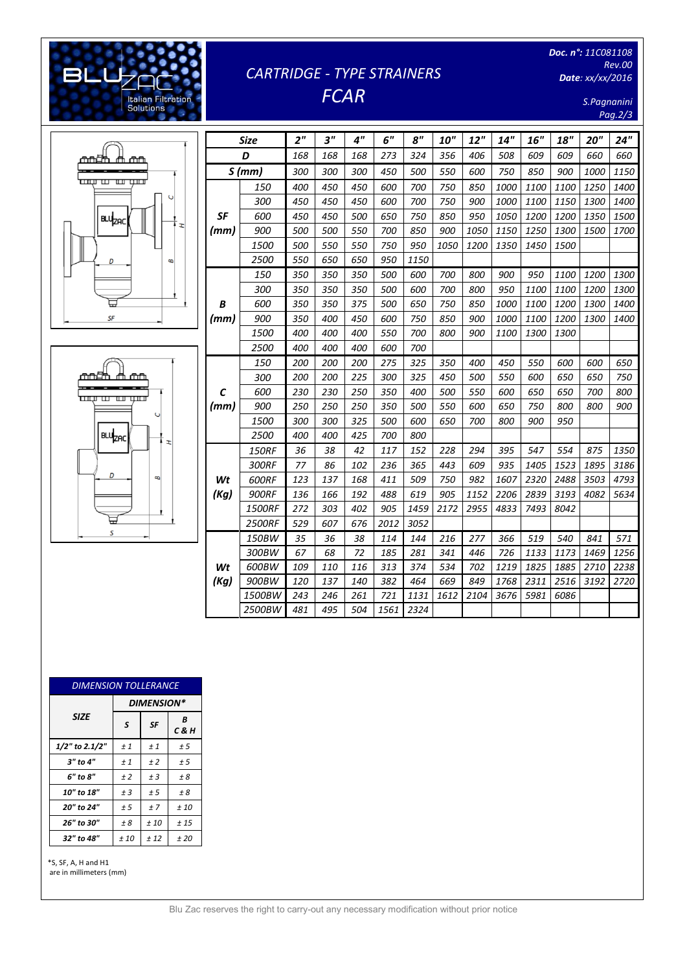# *CARTRIDGE - TYPE STRAINERS FCAR*

*Doc. n°: 11C081108 Rev.00 Date: xx/xx/2016*

> *S.Pagnanini Pag.2/3*



[Digitare il testo]

Italian Filtration<br>Solutions

**BLL** 



|      | <b>Size</b>   | 2 <sup>''</sup> | 3"  | 4"  | 6"   | 8''  | <b>10"</b> | 12"  | 14"  | 16"  | 18"  | 20"  | 24"  |
|------|---------------|-----------------|-----|-----|------|------|------------|------|------|------|------|------|------|
|      | D             | 168             | 168 | 168 | 273  | 324  | 356        | 406  | 508  | 609  | 609  | 660  | 660  |
|      | S(mm)         | 300             | 300 | 300 | 450  | 500  | 550        | 600  | 750  | 850  | 900  | 1000 | 1150 |
|      | 150           | 400             | 450 | 450 | 600  | 700  | 750        | 850  | 1000 | 1100 | 1100 | 1250 | 1400 |
|      | 300           | 450             | 450 | 450 | 600  | 700  | 750        | 900  | 1000 | 1100 | 1150 | 1300 | 1400 |
| SF   | 600           | 450             | 450 | 500 | 650  | 750  | 850        | 950  | 1050 | 1200 | 1200 | 1350 | 1500 |
| (mm) | 900           | 500             | 500 | 550 | 700  | 850  | 900        | 1050 | 1150 | 1250 | 1300 | 1500 | 1700 |
|      | 1500          | 500             | 550 | 550 | 750  | 950  | 1050       | 1200 | 1350 | 1450 | 1500 |      |      |
|      | 2500          | 550             | 650 | 650 | 950  | 1150 |            |      |      |      |      |      |      |
|      | 150           | 350             | 350 | 350 | 500  | 600  | 700        | 800  | 900  | 950  | 1100 | 1200 | 1300 |
|      | 300           | 350             | 350 | 350 | 500  | 600  | 700        | 800  | 950  | 1100 | 1100 | 1200 | 1300 |
| B    | 600           | 350             | 350 | 375 | 500  | 650  | 750        | 850  | 1000 | 1100 | 1200 | 1300 | 1400 |
| (mm) | 900           | 350             | 400 | 450 | 600  | 750  | 850        | 900  | 1000 | 1100 | 1200 | 1300 | 1400 |
|      | 1500          | 400             | 400 | 400 | 550  | 700  | 800        | 900  | 1100 | 1300 | 1300 |      |      |
|      | 2500          | 400             | 400 | 400 | 600  | 700  |            |      |      |      |      |      |      |
|      | 150           | 200             | 200 | 200 | 275  | 325  | 350        | 400  | 450  | 550  | 600  | 600  | 650  |
|      | 300           | 200             | 200 | 225 | 300  | 325  | 450        | 500  | 550  | 600  | 650  | 650  | 750  |
| C    | 600           | 230             | 230 | 250 | 350  | 400  | 500        | 550  | 600  | 650  | 650  | 700  | 800  |
| (mm) | 900           | 250             | 250 | 250 | 350  | 500  | 550        | 600  | 650  | 750  | 800  | 800  | 900  |
|      | 1500          | 300             | 300 | 325 | 500  | 600  | 650        | 700  | 800  | 900  | 950  |      |      |
|      | 2500          | 400             | 400 | 425 | 700  | 800  |            |      |      |      |      |      |      |
|      | <b>150RF</b>  | 36              | 38  | 42  | 117  | 152  | 228        | 294  | 395  | 547  | 554  | 875  | 1350 |
|      | 300RF         | 77              | 86  | 102 | 236  | 365  | 443        | 609  | 935  | 1405 | 1523 | 1895 | 3186 |
| Wt   | 600RF         | 123             | 137 | 168 | 411  | 509  | 750        | 982  | 1607 | 2320 | 2488 | 3503 | 4793 |
| (Kg) | <b>900RF</b>  | 136             | 166 | 192 | 488  | 619  | 905        | 1152 | 2206 | 2839 | 3193 | 4082 | 5634 |
|      | 1500RF        | 272             | 303 | 402 | 905  | 1459 | 2172       | 2955 | 4833 | 7493 | 8042 |      |      |
|      | <b>2500RF</b> | 529             | 607 | 676 | 2012 | 3052 |            |      |      |      |      |      |      |
|      | 150BW         | 35              | 36  | 38  | 114  | 144  | 216        | 277  | 366  | 519  | 540  | 841  | 571  |
|      | 300BW         | 67              | 68  | 72  | 185  | 281  | 341        | 446  | 726  | 1133 | 1173 | 1469 | 1256 |
| Wt   | 600BW         | 109             | 110 | 116 | 313  | 374  | 534        | 702  | 1219 | 1825 | 1885 | 2710 | 2238 |
| (Kg) | 900BW         | 120             | 137 | 140 | 382  | 464  | 669        | 849  | 1768 | 2311 | 2516 | 3192 | 2720 |
|      | 1500BW        | 243             | 246 | 261 | 721  | 1131 | 1612       | 2104 | 3676 | 5981 | 6086 |      |      |
|      | 2500BW        | 481             | 495 | 504 | 1561 | 2324 |            |      |      |      |      |      |      |

| <b>DIMENSION TOLLERANCE</b> |                   |           |            |  |  |  |  |
|-----------------------------|-------------------|-----------|------------|--|--|--|--|
|                             | <b>DIMENSION*</b> |           |            |  |  |  |  |
| <b>SIZE</b>                 | S                 | <b>SF</b> | B<br>C & H |  |  |  |  |
| 1/2" to 2.1/2"              | ±1                | ±1        | ± 5        |  |  |  |  |
| $3"$ to $4"$                | ±1                | ±2        | ± 5        |  |  |  |  |
| 6" to 8"                    | ±2                | $±$ 3     | ± 8        |  |  |  |  |
| 10" to 18"                  | $±$ 3             | ± 5       | ± 8        |  |  |  |  |
| 20" to 24"                  | ± 5               | ±7        | ±10        |  |  |  |  |
| 26" to 30"                  | ± 8               | ±10       | ±15        |  |  |  |  |
| 32" to 48"                  | ±10               | ± 12      | ±20        |  |  |  |  |

\*S, SF, A, H and H1 are in millimeters (mm)